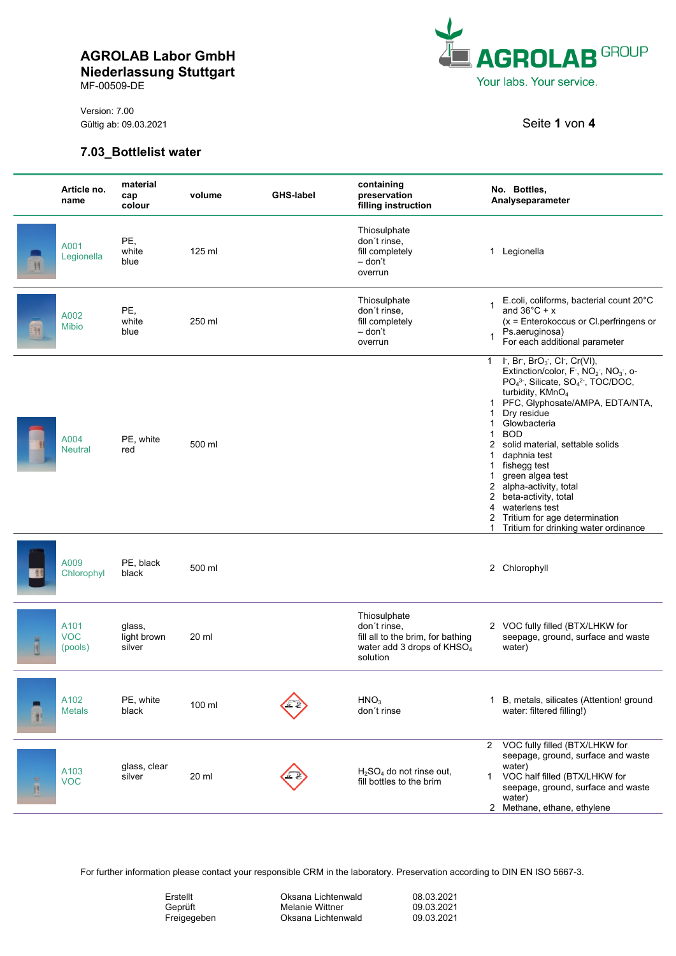MF-00509-DE

Version: 7.00 Gültig ab: 09.03.2021 **Seite 1** von **4** 



## **7.03\_Bottlelist water**

|         | Article no.<br>name           | material<br>cap<br>colour       | volume | <b>GHS-label</b> | containing<br>preservation<br>filling instruction                                                                       | No. Bottles,<br>Analyseparameter                                                                                                                                                                                                                                                                                                                                                                                                                                                                                                                                                                                  |
|---------|-------------------------------|---------------------------------|--------|------------------|-------------------------------------------------------------------------------------------------------------------------|-------------------------------------------------------------------------------------------------------------------------------------------------------------------------------------------------------------------------------------------------------------------------------------------------------------------------------------------------------------------------------------------------------------------------------------------------------------------------------------------------------------------------------------------------------------------------------------------------------------------|
| 11      | A001<br>Legionella            | PE,<br>white<br>blue            | 125 ml |                  | Thiosulphate<br>don't rinse,<br>fill completely<br>– don't<br>overrun                                                   | 1 Legionella                                                                                                                                                                                                                                                                                                                                                                                                                                                                                                                                                                                                      |
|         | A002<br><b>Mibio</b>          | PE,<br>white<br>blue            | 250 ml |                  | Thiosulphate<br>don't rinse.<br>fill completely<br>– don't<br>overrun                                                   | E.coli, coliforms, bacterial count 20°C<br>1<br>and $36^{\circ}$ C + x<br>$(x = Enterokoccus or Cl-perfringens or$<br>Ps.aeruginosa)<br>$\mathbf 1$<br>For each additional parameter                                                                                                                                                                                                                                                                                                                                                                                                                              |
|         | A004<br><b>Neutral</b>        | PE, white<br>red                | 500 ml |                  |                                                                                                                         | 1 $\vdash$ , Br, BrO <sub>3</sub> , Cl, Cr(VI),<br>Extinction/color, $F$ , $NO2$ , $NO3$ , o-<br>PO <sub>4</sub> <sup>3</sup> , Silicate, SO <sub>4</sub> <sup>2</sup> , TOC/DOC,<br>turbidity, KMnO <sub>4</sub><br>1 PFC, Glyphosate/AMPA, EDTA/NTA,<br>Dry residue<br>$\mathbf 1$<br>Glowbacteria<br>1<br><b>BOD</b><br>$\mathbf{1}$<br>2 solid material, settable solids<br>daphnia test<br>$\mathbf{1}$<br>fishegg test<br>1.<br>green algea test<br>1<br>2 alpha-activity, total<br>2 beta-activity, total<br>4 waterlens test<br>2 Tritium for age determination<br>1 Tritium for drinking water ordinance |
|         | A009<br>Chlorophyl            | PE, black<br>black              | 500 ml |                  |                                                                                                                         | 2 Chlorophyll                                                                                                                                                                                                                                                                                                                                                                                                                                                                                                                                                                                                     |
| 国王国     | A101<br><b>VOC</b><br>(pools) | glass,<br>light brown<br>silver | 20 ml  |                  | Thiosulphate<br>don't rinse,<br>fill all to the brim, for bathing<br>water add 3 drops of KHSO <sub>4</sub><br>solution | 2 VOC fully filled (BTX/LHKW for<br>seepage, ground, surface and waste<br>water)                                                                                                                                                                                                                                                                                                                                                                                                                                                                                                                                  |
|         | A102<br><b>Metals</b>         | PE, white<br>black              | 100 ml |                  | HNO <sub>3</sub><br>don't rinse                                                                                         | 1 B, metals, silicates (Attention! ground<br>water: filtered filling!)                                                                                                                                                                                                                                                                                                                                                                                                                                                                                                                                            |
| 兽<br>B. | A103<br><b>VOC</b>            | glass, clear<br>silver          | 20 ml  |                  | $H2SO4$ do not rinse out,<br>fill bottles to the brim                                                                   | VOC fully filled (BTX/LHKW for<br>$\mathbf{2}$<br>seepage, ground, surface and waste<br>water)<br>VOC half filled (BTX/LHKW for<br>1<br>seepage, ground, surface and waste<br>water)<br>2 Methane, ethane, ethylene                                                                                                                                                                                                                                                                                                                                                                                               |

For further information please contact your responsible CRM in the laboratory. Preservation according to DIN EN ISO 5667-3.

| 08.03.2021<br>Erstellt<br>Oksana Lichtenwald<br>Melanie Wittner<br>09.03.2021<br>Geprüft<br>09.03.2021<br>Oksana Lichtenwald<br>Freigegeben |
|---------------------------------------------------------------------------------------------------------------------------------------------|
|---------------------------------------------------------------------------------------------------------------------------------------------|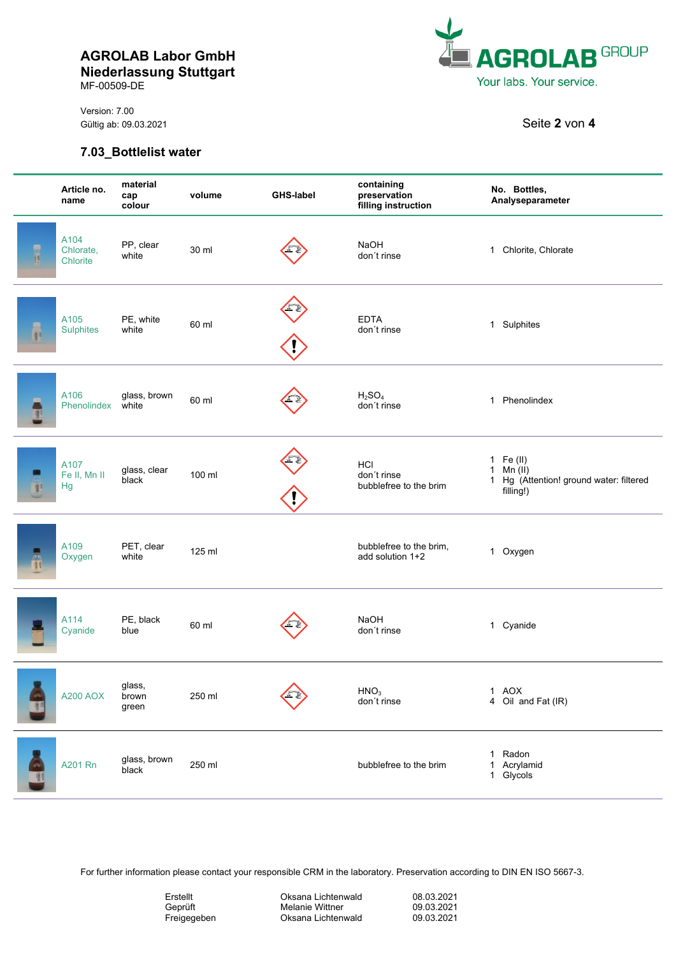MF-00509-DE

Version: 7.00 Gültig ab: 09.03.2021 **Seite 2** von **4** 



## **7.03\_Bottlelist water**

|    | Article no.<br>name           | material<br>cap<br>colour | volume | <b>GHS-label</b> | containing<br>preservation<br>filling instruction | No. Bottles,<br>Analyseparameter                                                                            |
|----|-------------------------------|---------------------------|--------|------------------|---------------------------------------------------|-------------------------------------------------------------------------------------------------------------|
| ī  | A104<br>Chlorate,<br>Chlorite | PP, clear<br>white        | 30 ml  |                  | NaOH<br>don't rinse                               | 1 Chlorite, Chlorate                                                                                        |
|    | A105<br><b>Sulphites</b>      | PE, white<br>white        | 60 ml  |                  | <b>EDTA</b><br>don't rinse                        | 1 Sulphites                                                                                                 |
| 增礼 | A106<br>Phenolindex           | glass, brown<br>white     | 60 ml  |                  | H <sub>2</sub> SO <sub>4</sub><br>don't rinse     | 1 Phenolindex                                                                                               |
|    | A107<br>Fe II, Mn II<br>Hg    | glass, clear<br>black     | 100 ml |                  | HCI<br>don't rinse<br>bubblefree to the brim      | 1 Fe (II)<br>Min (II)<br>$\mathbf{1}$<br>Hg (Attention! ground water: filtered<br>$\mathbf{1}$<br>filling!) |
|    | A109<br>Oxygen                | PET, clear<br>white       | 125 ml |                  | bubblefree to the brim,<br>add solution 1+2       | 1 Oxygen                                                                                                    |
|    | A114<br>Cyanide               | PE, black<br>blue         | 60 ml  |                  | NaOH<br>don't rinse                               | 1 Cyanide                                                                                                   |
|    | <b>A200 AOX</b>               | glass,<br>brown<br>green  | 250 ml |                  | HNO <sub>3</sub><br>don't rinse                   | 1 AOX<br>4 Oil and Fat (IR)                                                                                 |
|    | A201 Rn                       | glass, brown<br>black     | 250 ml |                  | bubblefree to the brim                            | Radon<br>1<br>Acrylamid<br>1<br>1 Glycols                                                                   |

For further information please contact your responsible CRM in the laboratory. Preservation according to DIN EN ISO 5667-3.

| Erstellt    | ΟI |
|-------------|----|
| Geprüft     | М۰ |
| Freigegeben | OI |

ksana Lichtenwald lelanie Wittner ksana Lichtenwald

| 08.03.2021 |  |
|------------|--|
| 09.03.2021 |  |
| 09.03.2021 |  |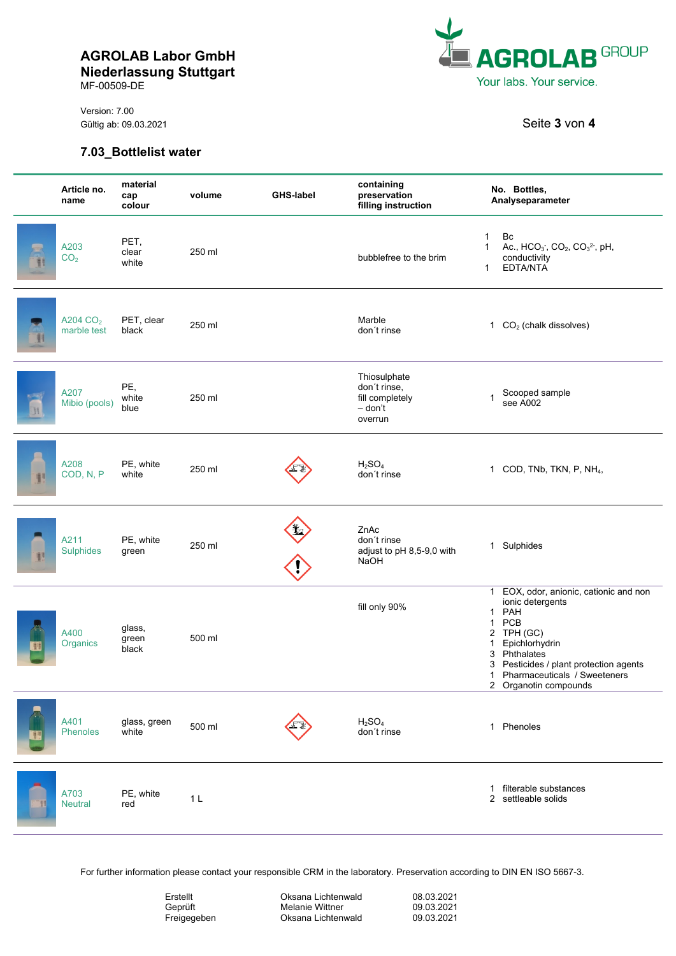MF-00509-DE

Version: 7.00 Gültig ab: 09.03.2021 Seite 3 von 4

#### **7.03\_Bottlelist water**



| Article no.<br>name                 | material<br>cap<br>colour | volume         | <b>GHS-label</b> | containing<br>preservation<br>filling instruction                     | No. Bottles,<br>Analyseparameter                                                                                                                                                                                                                                                      |
|-------------------------------------|---------------------------|----------------|------------------|-----------------------------------------------------------------------|---------------------------------------------------------------------------------------------------------------------------------------------------------------------------------------------------------------------------------------------------------------------------------------|
| A203<br>CO <sub>2</sub>             | PET,<br>clear<br>white    | 250 ml         |                  | bubblefree to the brim                                                | Bc<br>1<br>Ac., $HCO_3$ , $CO_2$ , $CO_3^2$ , pH,<br>$\mathbf{1}$<br>conductivity<br>EDTA/NTA<br>1                                                                                                                                                                                    |
| A204 CO <sub>2</sub><br>marble test | PET, clear<br>black       | 250 ml         |                  | Marble<br>don't rinse                                                 | 1 $CO2$ (chalk dissolves)                                                                                                                                                                                                                                                             |
| A207<br>Mibio (pools)               | PE,<br>white<br>blue      | 250 ml         |                  | Thiosulphate<br>don't rinse,<br>fill completely<br>- don't<br>overrun | Scooped sample<br>1<br>see A002                                                                                                                                                                                                                                                       |
| A208<br>COD, N, P                   | PE, white<br>white        | 250 ml         |                  | H <sub>2</sub> SO <sub>4</sub><br>don't rinse                         | 1 COD, TNb, TKN, P, NH <sub>4</sub> ,                                                                                                                                                                                                                                                 |
| A211<br><b>Sulphides</b>            | PE, white<br>green        | 250 ml         |                  | ZnAc<br>don't rinse<br>adjust to pH 8,5-9,0 with<br><b>NaOH</b>       | 1 Sulphides                                                                                                                                                                                                                                                                           |
| A400<br>Organics                    | glass,<br>green<br>black  | 500 ml         |                  | fill only 90%                                                         | EOX, odor, anionic, cationic and non<br>$\mathbf{1}$<br>ionic detergents<br>PAH<br>1<br>PCB<br>$\mathbf{1}$<br>2 TPH (GC)<br>Epichlorhydrin<br>$\mathbf 1$<br>3 Phthalates<br>Pesticides / plant protection agents<br>3<br>Pharmaceuticals / Sweeteners<br>1<br>2 Organotin compounds |
| A401<br>Phenoles                    | glass, green<br>white     | 500 ml         |                  | H <sub>2</sub> SO <sub>4</sub><br>don't rinse                         | 1 Phenoles                                                                                                                                                                                                                                                                            |
| A703<br><b>Neutral</b>              | PE, white<br>red          | 1 <sub>L</sub> |                  |                                                                       | filterable substances<br>1<br>2 settleable solids                                                                                                                                                                                                                                     |

For further information please contact your responsible CRM in the laboratory. Preservation according to DIN EN ISO 5667-3.

| Erstellt    |  |
|-------------|--|
| Geprüft     |  |
| Freigegeben |  |

Oksana Lichtenwald Melanie Wittner Oksana Lichtenwald

08.03.2021 09.03.2021 09.03.2021